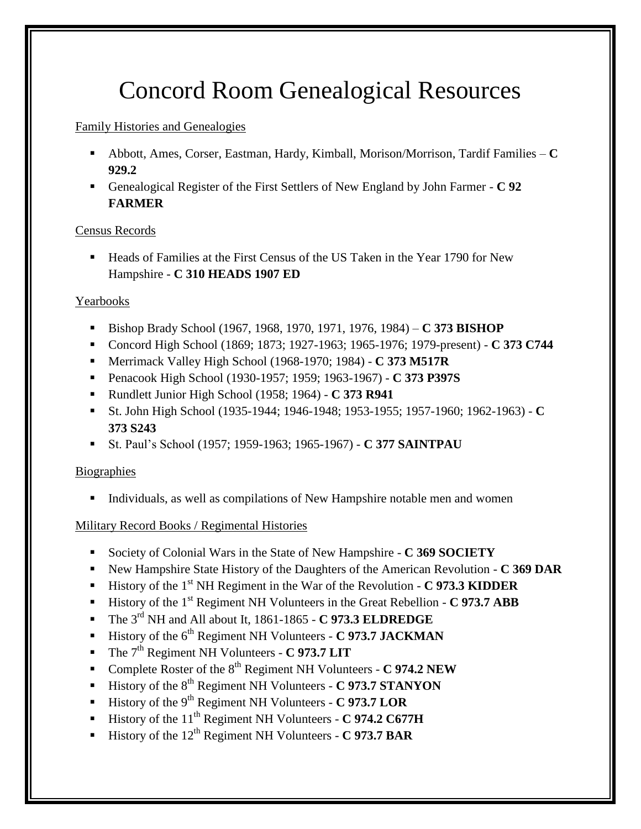# Concord Room Genealogical Resources

# Family Histories and Genealogies

- Abbott, Ames, Corser, Eastman, Hardy, Kimball, Morison/Morrison, Tardif Families **C 929.2**
- Genealogical Register of the First Settlers of New England by John Farmer **C 92 FARMER**

# Census Records

 Heads of Families at the First Census of the US Taken in the Year 1790 for New Hampshire - **C 310 HEADS 1907 ED**

# Yearbooks

- Bishop Brady School (1967, 1968, 1970, 1971, 1976, 1984) **C 373 BISHOP**
- Concord High School (1869; 1873; 1927-1963; 1965-1976; 1979-present) **C 373 C744**
- Merrimack Valley High School (1968-1970; 1984) **C 373 M517R**
- Penacook High School (1930-1957; 1959; 1963-1967) **C 373 P397S**
- Rundlett Junior High School (1958; 1964) **C 373 R941**
- St. John High School (1935-1944; 1946-1948; 1953-1955; 1957-1960; 1962-1963) **C 373 S243**
- St. Paul's School (1957; 1959-1963; 1965-1967) **C 377 SAINTPAU**

# **Biographies**

Individuals, as well as compilations of New Hampshire notable men and women

# Military Record Books / Regimental Histories

- Society of Colonial Wars in the State of New Hampshire **C 369 SOCIETY**
- New Hampshire State History of the Daughters of the American Revolution **C 369 DAR**
- History of the 1st NH Regiment in the War of the Revolution **C 973.3 KIDDER**
- History of the 1<sup>st</sup> Regiment NH Volunteers in the Great Rebellion **C 973.7 ABB**
- The 3rd NH and All about It, 1861-1865 **C 973.3 ELDREDGE**
- **History of the 6<sup>th</sup> Regiment NH Volunteers C 973.7 JACKMAN**
- The 7<sup>th</sup> Regiment NH Volunteers **C 973.7 LIT**
- Complete Roster of the 8<sup>th</sup> Regiment NH Volunteers **C 974.2 NEW**
- History of the 8th Regiment NH Volunteers **C 973.7 STANYON**
- History of the 9th Regiment NH Volunteers **C 973.7 LOR**
- History of the 11<sup>th</sup> Regiment NH Volunteers **C 974.2 C677H**
- History of the 12<sup>th</sup> Regiment NH Volunteers **C 973.7 BAR**